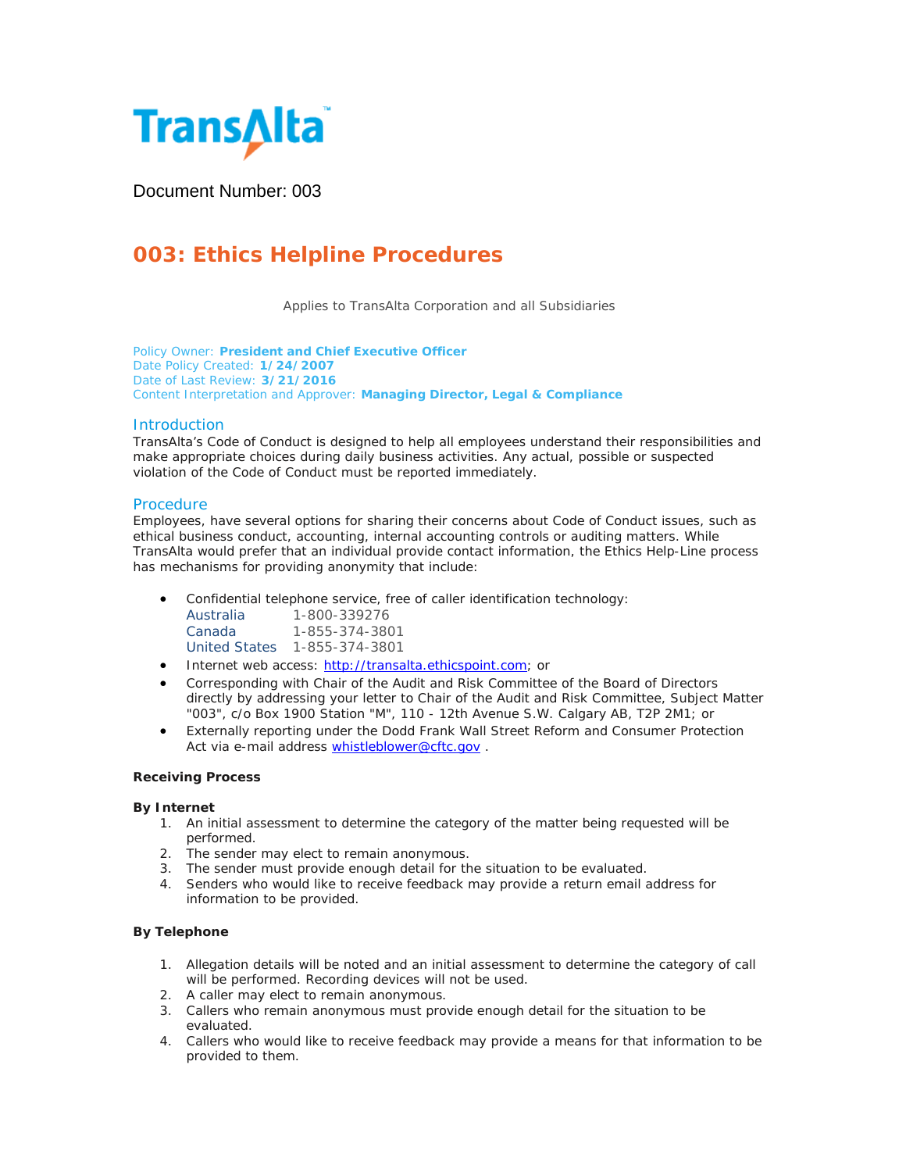

Document Number: 003

# **003: Ethics Helpline Procedures**

Applies to TransAlta Corporation and all Subsidiaries

Policy Owner: **President and Chief Executive Officer** Date Policy Created: **1/24/2007** Date of Last Review: **3/21/2016** Content Interpretation and Approver: **Managing Director, Legal & Compliance**

# **Introduction**

TransAlta's Code of Conduct is designed to help all employees understand their responsibilities and make appropriate choices during daily business activities. Any actual, possible or suspected violation of the Code of Conduct must be reported immediately.

## **Procedure**

Employees, have several options for sharing their concerns about Code of Conduct issues, such as ethical business conduct, accounting, internal accounting controls or auditing matters. While TransAlta would prefer that an individual provide contact information, the Ethics Help-Line process has mechanisms for providing anonymity that include:

• Confidential telephone service, free of caller identification technology:

| Australia            | 1-800-339276   |
|----------------------|----------------|
| Canada               | 1-855-374-3801 |
| <b>United States</b> | 1-855-374-3801 |

- Internet web access: [http://transalta.ethicspoint.com;](http://transalta.ethicspoint.com/) or
- Corresponding with Chair of the Audit and Risk Committee of the Board of Directors directly by addressing your letter to Chair of the Audit and Risk Committee, Subject Matter "003", c/o Box 1900 Station "M", 110 - 12th Avenue S.W. Calgary AB, T2P 2M1; or
- Externally reporting under the Dodd Frank Wall Street Reform and Consumer Protection Act via e-mail address [whistleblower@cftc.gov](mailto:whistleblower@cftc.gov).

## **Receiving Process**

## *By Internet*

- 1. An initial assessment to determine the category of the matter being requested will be performed.
- 2. The sender may elect to remain anonymous.
- 3. The sender must provide enough detail for the situation to be evaluated.
- 4. Senders who would like to receive feedback may provide a return email address for information to be provided.

## *By Telephone*

- 1. Allegation details will be noted and an initial assessment to determine the category of call will be performed. Recording devices will not be used.
- 2. A caller may elect to remain anonymous.
- 3. Callers who remain anonymous must provide enough detail for the situation to be evaluated.
- 4. Callers who would like to receive feedback may provide a means for that information to be provided to them.